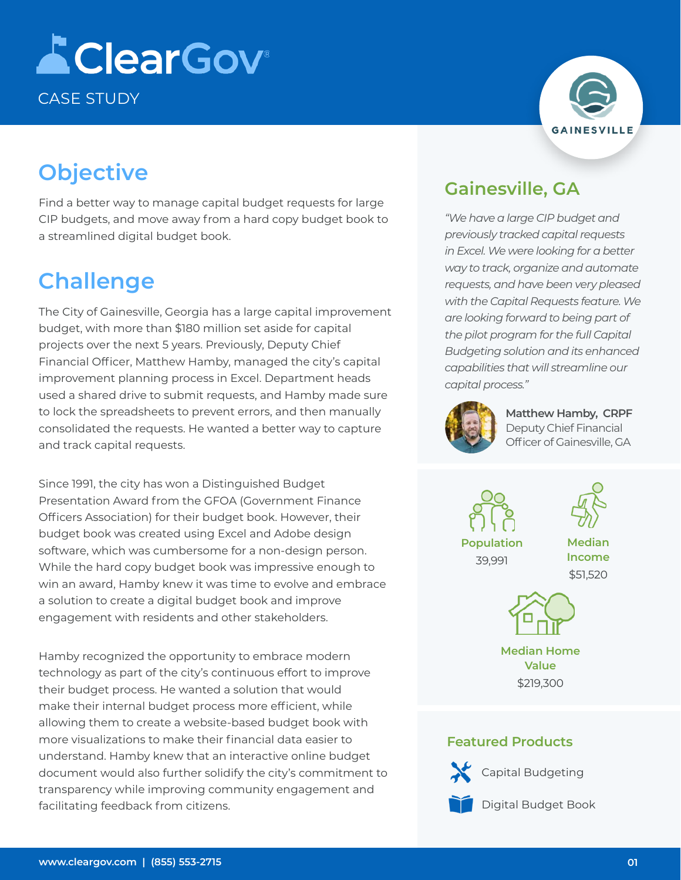# **AClearGov** CASE STUDY

## **Objective**

Find a better way to manage capital budget requests for large CIP budgets, and move away from a hard copy budget book to a streamlined digital budget book.

## **Challenge**

The City of Gainesville, Georgia has a large capital improvement budget, with more than \$180 million set aside for capital projects over the next 5 years. Previously, Deputy Chief Financial Officer, Matthew Hamby, managed the city's capital improvement planning process in Excel. Department heads used a shared drive to submit requests, and Hamby made sure to lock the spreadsheets to prevent errors, and then manually consolidated the requests. He wanted a better way to capture and track capital requests.

Since 1991, the city has won a Distinguished Budget Presentation Award from the GFOA (Government Finance Officers Association) for their budget book. However, their budget book was created using Excel and Adobe design software, which was cumbersome for a non-design person. While the hard copy budget book was impressive enough to win an award, Hamby knew it was time to evolve and embrace a solution to create a digital budget book and improve engagement with residents and other stakeholders.

Hamby recognized the opportunity to embrace modern technology as part of the city's continuous effort to improve their budget process. He wanted a solution that would make their internal budget process more efficient, while allowing them to create a website-based budget book with more visualizations to make their financial data easier to understand. Hamby knew that an interactive online budget document would also further solidify the city's commitment to transparency while improving community engagement and facilitating feedback from citizens.



### **Gainesville, GA**

*"We have a large CIP budget and previously tracked capital requests in Excel. We were looking for a better way to track, organize and automate requests, and have been very pleased with the Capital Requests feature. We are looking forward to being part of the pilot program for the full Capital Budgeting solution and its enhanced capabilities that will streamline our capital process."*



**Matthew Hamby, CRPF** Deputy Chief Financial Officer of Gainesville, GA

**Population** 39,991



**Median Income** \$51,520



**Median Home Value** \$219,300

#### **Featured Products**

Capital Budgeting



Digital Budget Book